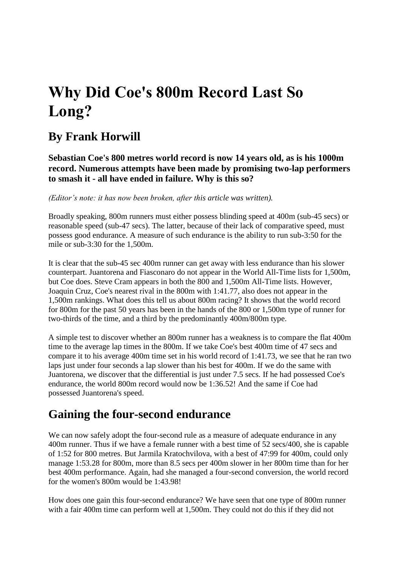# **Why Did Coe's 800m Record Last So Long?**

### **By Frank Horwill**

**Sebastian Coe's 800 metres world record is now 14 years old, as is his 1000m record. Numerous attempts have been made by promising two-lap performers to smash it - all have ended in failure. Why is this so?** 

*(Editor's note: it has now been broken, after this article was written).*

Broadly speaking, 800m runners must either possess blinding speed at 400m (sub-45 secs) or reasonable speed (sub-47 secs). The latter, because of their lack of comparative speed, must possess good endurance. A measure of such endurance is the ability to run sub-3:50 for the mile or sub-3:30 for the 1,500m.

It is clear that the sub-45 sec 400m runner can get away with less endurance than his slower counterpart. Juantorena and Fiasconaro do not appear in the World All-Time lists for 1,500m, but Coe does. Steve Cram appears in both the 800 and 1,500m All-Time lists. However, Joaquin Cruz, Coe's nearest rival in the 800m with 1:41.77, also does not appear in the 1,500m rankings. What does this tell us about 800m racing? It shows that the world record for 800m for the past 50 years has been in the hands of the 800 or 1,500m type of runner for two-thirds of the time, and a third by the predominantly 400m/800m type.

A simple test to discover whether an 800m runner has a weakness is to compare the flat 400m time to the average lap times in the 800m. If we take Coe's best 400m time of 47 secs and compare it to his average 400m time set in his world record of 1:41.73, we see that he ran two laps just under four seconds a lap slower than his best for 400m. If we do the same with Juantorena, we discover that the differential is just under 7.5 secs. If he had possessed Coe's endurance, the world 800m record would now be 1:36.52! And the same if Coe had possessed Juantorena's speed.

# **Gaining the four-second endurance**

We can now safely adopt the four-second rule as a measure of adequate endurance in any 400m runner. Thus if we have a female runner with a best time of 52 secs/400, she is capable of 1:52 for 800 metres. But Jarmila Kratochvilova, with a best of 47:99 for 400m, could only manage 1:53.28 for 800m, more than 8.5 secs per 400m slower in her 800m time than for her best 400m performance. Again, had she managed a four-second conversion, the world record for the women's 800m would be 1:43.98!

How does one gain this four-second endurance? We have seen that one type of 800m runner with a fair 400m time can perform well at 1,500m. They could not do this if they did not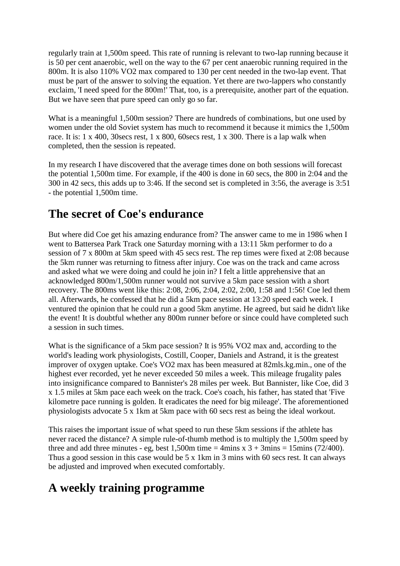regularly train at 1,500m speed. This rate of running is relevant to two-lap running because it is 50 per cent anaerobic, well on the way to the 67 per cent anaerobic running required in the 800m. It is also 110% VO2 max compared to 130 per cent needed in the two-lap event. That must be part of the answer to solving the equation. Yet there are two-lappers who constantly exclaim, 'I need speed for the 800m!' That, too, is a prerequisite, another part of the equation. But we have seen that pure speed can only go so far.

What is a meaningful 1,500m session? There are hundreds of combinations, but one used by women under the old Soviet system has much to recommend it because it mimics the 1,500m race. It is: 1 x 400, 30secs rest, 1 x 800, 60secs rest, 1 x 300. There is a lap walk when completed, then the session is repeated.

In my research I have discovered that the average times done on both sessions will forecast the potential 1,500m time. For example, if the 400 is done in 60 secs, the 800 in 2:04 and the 300 in 42 secs, this adds up to 3:46. If the second set is completed in 3:56, the average is 3:51 - the potential 1,500m time.

### **The secret of Coe's endurance**

But where did Coe get his amazing endurance from? The answer came to me in 1986 when I went to Battersea Park Track one Saturday morning with a 13:11 5km performer to do a session of 7 x 800m at 5km speed with 45 secs rest. The rep times were fixed at 2:08 because the 5km runner was returning to fitness after injury. Coe was on the track and came across and asked what we were doing and could he join in? I felt a little apprehensive that an acknowledged 800m/1,500m runner would not survive a 5km pace session with a short recovery. The 800ms went like this: 2:08, 2:06, 2:04, 2:02, 2:00, 1:58 and 1:56! Coe led them all. Afterwards, he confessed that he did a 5km pace session at 13:20 speed each week. I ventured the opinion that he could run a good 5km anytime. He agreed, but said he didn't like the event! It is doubtful whether any 800m runner before or since could have completed such a session in such times.

What is the significance of a 5km pace session? It is 95% VO2 max and, according to the world's leading work physiologists, Costill, Cooper, Daniels and Astrand, it is the greatest improver of oxygen uptake. Coe's VO2 max has been measured at 82mls.kg.min., one of the highest ever recorded, yet he never exceeded 50 miles a week. This mileage frugality pales into insignificance compared to Bannister's 28 miles per week. But Bannister, like Coe, did 3 x 1.5 miles at 5km pace each week on the track. Coe's coach, his father, has stated that 'Five kilometre pace running is golden. It eradicates the need for big mileage'. The aforementioned physiologists advocate 5 x 1km at 5km pace with 60 secs rest as being the ideal workout.

This raises the important issue of what speed to run these 5km sessions if the athlete has never raced the distance? A simple rule-of-thumb method is to multiply the 1,500m speed by three and add three minutes - eg, best 1,500m time = 4mins x  $3 + 3$ mins = 15mins (72/400). Thus a good session in this case would be 5 x 1km in 3 mins with 60 secs rest. It can always be adjusted and improved when executed comfortably.

# **A weekly training programme**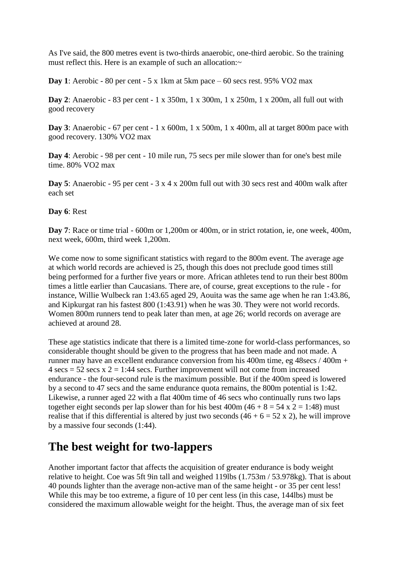As I've said, the 800 metres event is two-thirds anaerobic, one-third aerobic. So the training must reflect this. Here is an example of such an allocation: $\sim$ 

**Day 1**: Aerobic - 80 per cent - 5 x 1km at 5km pace – 60 secs rest. 95% VO2 max

**Day 2**: Anaerobic - 83 per cent - 1 x 350m, 1 x 300m, 1 x 250m, 1 x 200m, all full out with good recovery

**Day 3**: Anaerobic - 67 per cent - 1 x 600m, 1 x 500m, 1 x 400m, all at target 800m pace with good recovery. 130% VO2 max

**Day 4**: Aerobic - 98 per cent - 10 mile run, 75 secs per mile slower than for one's best mile time. 80% VO2 max

**Day 5**: Anaerobic - 95 per cent - 3 x 4 x 200m full out with 30 secs rest and 400m walk after each set

#### **Day 6**: Rest

**Day 7**: Race or time trial - 600m or 1,200m or 400m, or in strict rotation, ie, one week, 400m, next week, 600m, third week 1,200m.

We come now to some significant statistics with regard to the 800m event. The average age at which world records are achieved is 25, though this does not preclude good times still being performed for a further five years or more. African athletes tend to run their best 800m times a little earlier than Caucasians. There are, of course, great exceptions to the rule - for instance, Willie Wulbeck ran 1:43.65 aged 29, Aouita was the same age when he ran 1:43.86, and Kipkurgat ran his fastest 800 (1:43.91) when he was 30. They were not world records. Women 800m runners tend to peak later than men, at age 26; world records on average are achieved at around 28.

These age statistics indicate that there is a limited time-zone for world-class performances, so considerable thought should be given to the progress that has been made and not made. A runner may have an excellent endurance conversion from his 400m time, eg 48secs / 400m +  $4 \text{ secs} = 52 \text{ secs} \times 2 = 1:44 \text{ secs}$ . Further improvement will not come from increased endurance - the four-second rule is the maximum possible. But if the 400m speed is lowered by a second to 47 secs and the same endurance quota remains, the 800m potential is 1:42. Likewise, a runner aged 22 with a flat 400m time of 46 secs who continually runs two laps together eight seconds per lap slower than for his best  $400m (46 + 8 = 54 \times 2 = 1:48)$  must realise that if this differential is altered by just two seconds  $(46 + 6 = 52 \times 2)$ , he will improve by a massive four seconds (1:44).

### **The best weight for two-lappers**

Another important factor that affects the acquisition of greater endurance is body weight relative to height. Coe was 5ft 9in tall and weighed 119lbs (1.753m / 53.978kg). That is about 40 pounds lighter than the average non-active man of the same height - or 35 per cent less! While this may be too extreme, a figure of 10 per cent less (in this case, 144lbs) must be considered the maximum allowable weight for the height. Thus, the average man of six feet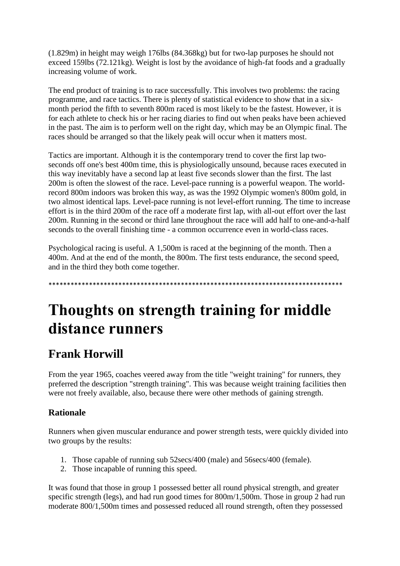(1.829m) in height may weigh 176lbs (84.368kg) but for two-lap purposes he should not exceed 159lbs (72.121kg). Weight is lost by the avoidance of high-fat foods and a gradually increasing volume of work.

The end product of training is to race successfully. This involves two problems: the racing programme, and race tactics. There is plenty of statistical evidence to show that in a sixmonth period the fifth to seventh 800m raced is most likely to be the fastest. However, it is for each athlete to check his or her racing diaries to find out when peaks have been achieved in the past. The aim is to perform well on the right day, which may be an Olympic final. The races should be arranged so that the likely peak will occur when it matters most.

Tactics are important. Although it is the contemporary trend to cover the first lap twoseconds off one's best 400m time, this is physiologically unsound, because races executed in this way inevitably have a second lap at least five seconds slower than the first. The last 200m is often the slowest of the race. Level-pace running is a powerful weapon. The worldrecord 800m indoors was broken this way, as was the 1992 Olympic women's 800m gold, in two almost identical laps. Level-pace running is not level-effort running. The time to increase effort is in the third 200m of the race off a moderate first lap, with all-out effort over the last 200m. Running in the second or third lane throughout the race will add half to one-and-a-half seconds to the overall finishing time - a common occurrence even in world-class races.

Psychological racing is useful. A 1,500m is raced at the beginning of the month. Then a 400m. And at the end of the month, the 800m. The first tests endurance, the second speed, and in the third they both come together.

\*\*\*\*\*\*\*\*\*\*\*\*\*\*\*\*\*\*\*\*\*\*\*\*\*\*\*\*\*\*\*\*\*\*\*\*\*\*\*\*\*\*\*\*\*\*\*\*\*\*\*\*\*\*\*\*\*\*\*\*\*\*\*\*\*\*\*\*\*\*\*\*\*\*\*\*\*\*\*\*

# **Thoughts on strength training for middle distance runners**

# **Frank Horwill**

From the year 1965, coaches veered away from the title "weight training" for runners, they preferred the description "strength training". This was because weight training facilities then were not freely available, also, because there were other methods of gaining strength.

### **Rationale**

Runners when given muscular endurance and power strength tests, were quickly divided into two groups by the results:

- 1. Those capable of running sub 52secs/400 (male) and 56secs/400 (female).
- 2. Those incapable of running this speed.

It was found that those in group 1 possessed better all round physical strength, and greater specific strength (legs), and had run good times for 800m/1,500m. Those in group 2 had run moderate 800/1,500m times and possessed reduced all round strength, often they possessed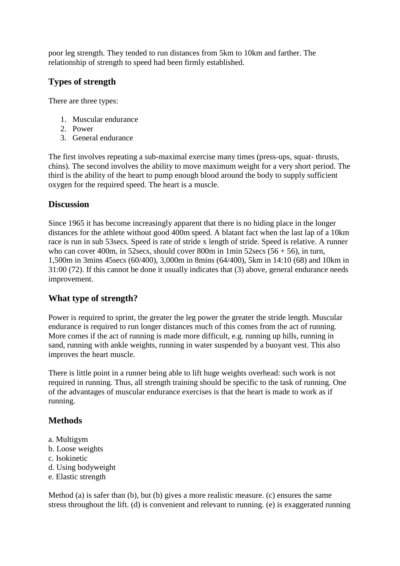poor leg strength. They tended to run distances from 5km to 10km and farther. The relationship of strength to speed had been firmly established.

### **Types of strength**

There are three types:

- 1. Muscular endurance
- 2. Power
- 3. General endurance

The first involves repeating a sub-maximal exercise many times (press-ups, squat- thrusts, chins). The second involves the ability to move maximum weight for a very short period. The third is the ability of the heart to pump enough blood around the body to supply sufficient oxygen for the required speed. The heart is a muscle.

#### **Discussion**

Since 1965 it has become increasingly apparent that there is no hiding place in the longer distances for the athlete without good 400m speed. A blatant fact when the last lap of a 10km race is run in sub 53secs. Speed is rate of stride x length of stride. Speed is relative. A runner who can cover 400m, in 52secs, should cover 800m in 1min 52secs (56 + 56), in turn, 1,500m in 3mins 45secs (60/400), 3,000m in 8mins (64/400), 5km in 14:10 (68) and 10km in 31:00 (72). If this cannot be done it usually indicates that (3) above, general endurance needs improvement.

#### **What type of strength?**

Power is required to sprint, the greater the leg power the greater the stride length. Muscular endurance is required to run longer distances much of this comes from the act of running. More comes if the act of running is made more difficult, e.g. running up hills, running in sand, running with ankle weights, running in water suspended by a buoyant vest. This also improves the heart muscle.

There is little point in a runner being able to lift huge weights overhead: such work is not required in running. Thus, all strength training should be specific to the task of running. One of the advantages of muscular endurance exercises is that the heart is made to work as if running.

### **Methods**

- a. Multigym
- b. Loose weights
- c. Isokinetic
- d. Using bodyweight
- e. Elastic strength

Method (a) is safer than (b), but (b) gives a more realistic measure. (c) ensures the same stress throughout the lift. (d) is convenient and relevant to running. (e) is exaggerated running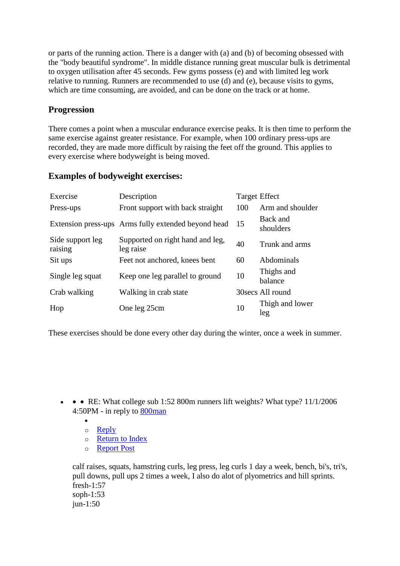or parts of the running action. There is a danger with (a) and (b) of becoming obsessed with the "body beautiful syndrome". In middle distance running great muscular bulk is detrimental to oxygen utilisation after 45 seconds. Few gyms possess (e) and with limited leg work relative to running. Runners are recommended to use (d) and (e), because visits to gyms, which are time consuming, are avoided, and can be done on the track or at home.

#### **Progression**

There comes a point when a muscular endurance exercise peaks. It is then time to perform the same exercise against greater resistance. For example, when 100 ordinary press-ups are recorded, they are made more difficult by raising the feet off the ground. This applies to every exercise where bodyweight is being moved.

#### **Examples of bodyweight exercises:**

| Exercise                    | Description                                         | <b>Target Effect</b> |                        |
|-----------------------------|-----------------------------------------------------|----------------------|------------------------|
| Press-ups                   | Front support with back straight                    | 100                  | Arm and shoulder       |
|                             | Extension press-ups Arms fully extended beyond head | 15                   | Back and<br>shoulders  |
| Side support leg<br>raising | Supported on right hand and leg,<br>leg raise       | 40                   | Trunk and arms         |
| Sit ups                     | Feet not anchored, knees bent                       | 60                   | Abdominals             |
| Single leg squat            | Keep one leg parallel to ground                     | 10                   | Thighs and<br>balance  |
| Crab walking                | Walking in crab state                               |                      | 30 secs All round      |
| Hop                         | One leg 25cm                                        | 10                   | Thigh and lower<br>leg |

These exercises should be done every other day during the winter, once a week in summer.

- • RE: What college sub 1:52 800m runners lift weights? What type?  $11/1/2006$ 4:50PM - in reply to [800man](http://www.letsrun.com/forum/flat_read.php?board=1&thread=1609608&id=1609608#1609608)
	- $\bullet$ o [Reply](http://www.letsrun.com/forum/post.php?board=1&reply=1609713)
	- o [Return to Index](http://www.letsrun.com/forum/forum.php?board=1)
	- o [Report Post](http://www.letsrun.com/forum/report.php?board=1&id=1609713&thread=1609608)

calf raises, squats, hamstring curls, leg press, leg curls 1 day a week, bench, bi's, tri's, pull downs, pull ups 2 times a week, I also do alot of plyometrics and hill sprints. fresh-1:57 soph-1:53 jun-1:50